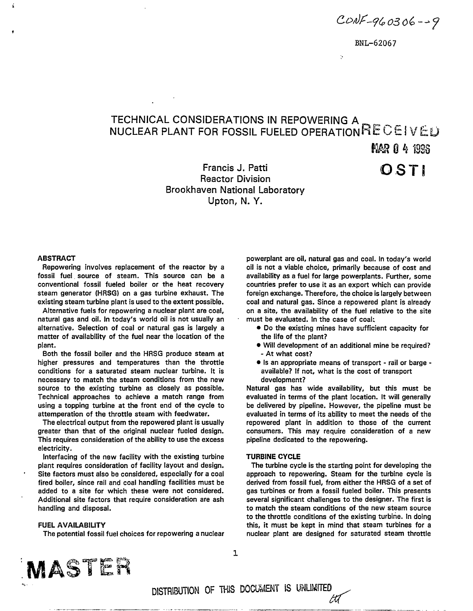$CONF - 960306 - 9$ 

Ŷ.

# TECHNICAL CONSIDERATIONS IN REPOWERING A <code>NUCLEAR</code> PLANT FOR FOSSIL FUELED OPERATION $\mathsf{KLCEIVEL}$

MAR 0 4 1936

**OSTI** 

Francis J. Patti Reactor Division Brookhaven National Laboratory Upton, N. Y.

#### **ABSTRACT**

Repowering involves replacement of the reactor by a fossil fuel source of steam. This source can be a conventional fossil fueled boiler or the heat recovery steam generator (HRSG) on a gas turbine exhaust. The existing steam turbine plant is used to the extent possible.

Alternative fuels for repowering a nuclear plant are coal, natural gas and oil. In today's world oil is not usually an alternative. Selection of coal or natural gas is largely a matter of availability of the fuel near the location of the plant.

Both the fossil boiler and the HRSG produce steam at higher pressures and temperatures than the throttle conditions for a saturated steam nuclear turbine. It is necessary to match the steam conditions from the new source to the existing turbine as closely as possible. Technical approaches to achieve a match range from using a topping turbine at the front end of the cycle to attemperation of the throttle steam with feedwater.

The electrical output from the repowered plant is usually greater than that of the original nuclear fueled design. This requires consideration of the ability to use the excess electricity.

Interfacing of the new facility with the existing turbine plant requires consideration of facility layout and design. Site factors must also be considered, especially for a coal fired boiler, since rail and coal handling facilities must be added to a site for which these were not considered. Additional site factors that require consideration are ash handling and disposal.

#### **FUEL AVAILABILITY**

The potential fossil fuel choices for repowering a nuclear

powerplant are oil, natural gas and coal. In today's world oil is not a viable choice, primarily because of cost and availability as a fuel for large powerplants. Further, some countries prefer to use it as an export which can provide foreign exchange. Therefore, the choice is largely between coal and natural gas. Since a repowered plant is already on a site, the availability of the fuel relative to the site must be evaluated. In the case of coal:

- Do the existing mines have sufficient capacity for the life of the plant?
- Will development of an additional mine be required? - At what cost?
- Is an appropriate means of transport rail or barge available? If not, what is the cost of transport development?

Natural gas has wide availability, but this must be evaluated in terms of the plant location. It will generally be delivered by pipeline. However, the pipeline must be evaluated in terms of its ability to meet the needs of the repowered plant in addition to those of the current consumers. This may require consideration of a new pipeline dedicated to the repowering.

#### **TURBINE CYCLE**

The turbine cycle is the starting point for developing the approach to repowering. Steam for the turbine cycle is derived from fossil fuel, from either the HRSG of a set of gas turbines or from a fossil fueled boiler. This presents several significant challenges to the designer. The first is to match the steam conditions of the new steam source to the throttle conditions of the existing turbine. In doing this, it must be kept in mind that steam turbines for a nuclear plant are designed for saturated steam throttle



 $\mathbf{1}$ 

DISTRIBUTION OF THIS DOCUMENT IS UNLIMITED *&f*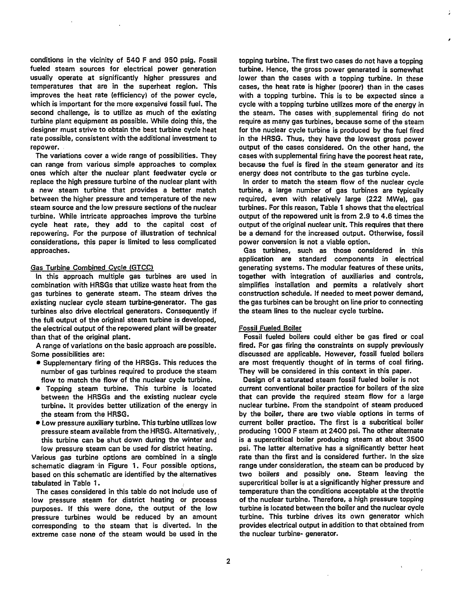conditions in the vicinity of 540 F and 950 psig. Fossil fueled steam sources for electrical power generation usually operate at significantly higher pressures and temperatures that are in the superheat region. This improves the heat rate (efficiency) of the power cycle, which is important for the more expensive fossil fuel. The second challenge, is to utilize as much of the existing turbine plant equipment as possible. While doing this, the designer must strive to obtain the best turbine cycle heat rate possible, consistent with the additional investment to repower.

The variations cover a wide range of possibilities. They can range from various simple approaches to complex ones which alter the nuclear plant feedwater cycle or replace the high pressure turbine of the nuclear plant with a new steam turbine that provides a better match between the higher pressure and temperature of the new steam source and the low pressure sections of the nuclear turbine. While intricate approaches improve the turbine cycle heat rate, they add to the capital cost of repowering. For the purpose of illustration of technical considerations, this paper is limited to less complicated approaches.

### Gas Turbine Combined Cycle (GTCC)

In this approach multiple gas turbines are used in combination with HRSGs that utilize waste heat from the gas turbines to generate steam. The steam drives the existing nuclear cycle steam turbine-generator. The gas turbines also drive electrical generators. Consequently if the full output of the original steam turbine is developed, the electrical output of the repowered plant will be greater than that of the original plant.

A range of variations on the basic approach are possible. Some possibilities are:

- Supplementary firing of the HRSGs. This reduces the number of gas turbines required to produce the steam flow to match the flow of the nuclear cycle turbine.
- Topping steam turbine. This turbine is located between the HRSGs and the existing nuclear cycle turbine. It provides better utilization of the energy in the steam from the HRSG.
- Low pressure auxiliary turbine. This turbine utilizes low pressure steam available from the HRSG. Alternatively, this turbine can be shut down during the winter and low pressure steam can be used for district heating.

Various gas turbine options are combined in a single schematic diagram in Figure 1. Four possible options, based on this schematic are identified by the alternatives tabulated in Table 1.

The cases considered in this table do not include use of low pressure steam for district heating or process purposes. If this were done, the output of the low pressure turbines would be reduced by an amount corresponding to the steam that is diverted. In the extreme case none of the steam would be used in the

topping turbine. The first two cases do not have a topping turbine. Hence, the gross power generated is somewhat lower than the cases with a topping turbine. In these cases, the heat rate is higher (poorer) than in the cases with a topping turbine. This is to be expected since a cycle with a topping turbine utilizes more of the energy in the steam. The cases with supplemental firing do not require as many gas turbines, because some of the steam for the nuclear cycle turbine is produced by the fuel fired in the HRSG. Thus, they have the lowest gross power output of the cases considered. On the other hand, the cases with supplemental firing have the poorest heat rate, because the fuel is fired in the steam generator and its energy does not contribute to the gas turbine cycle.

In order to match the steam flow of the nuclear cycle turbine, a large number of gas turbines are typically required, even with relatively large (222 MWe), gas turbines. For this reason, Table 1 shows that the electrical output of the repowered unit is from 2.9 to 4.6 times the output of the original nuclear unit. This requires that there be a demand for the increased output. Otherwise, fossil power conversion is not a viable option.

Gas turbines, such as those considered in this application are standard components in electrical generating systems. The modular features of these units, together with integration of auxiliaries and controls, simplifies installation and permits a relatively short construction schedule. If needed to meet power demand, the gas turbines can be brought on line prior to connecting the steam lines to the nuclear cycle turbine.

#### Fossil Fueled Boiler

Fossil fueled boilers could either be gas fired or coal fired. For gas firing the constraints on supply previously discussed are applicable. However, fossil fueled boilers are most frequently thought of in terms of coal firing. They will be considered in this context in this paper.

Design of a saturated steam fossil fueled boiler is not current conventional boiler practice for boilers of the size that can provide the required steam flow for a large nuclear turbine. From the standpoint of steam produced by the boiler, there are two viable options in terms of current boiler practice. The first is a subcritical boiler producing 1000 F steam at 2400 psi. The other alternate is a supercritical boiler producing steam at about 3500 psi. The latter alternative has a significantly better heat rate than the first and is considered further. In the size range under consideration, the steam can be produced by two boilers and possibly one. Steam leaving the supercritical boiler is at a significantly higher pressure and temperature than the conditions acceptable at the throttle of the nuclear turbine. Therefore, a high pressure topping turbine is located between the boiler and the nuclear cycle turbine. This turbine drives its own generator which provides electrical output in addition to that obtained from the nuclear turbine- generator.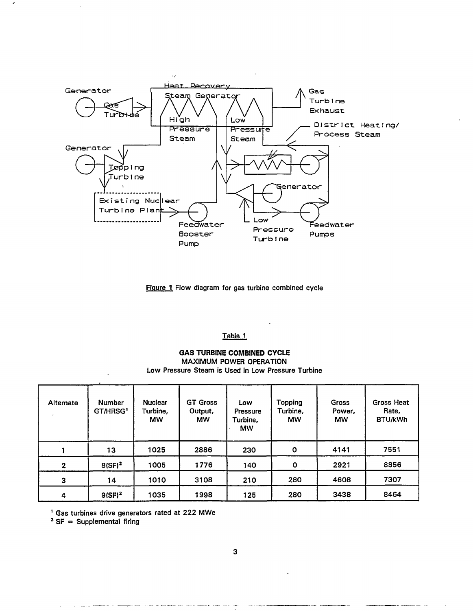

Figure 1 Flow diagram for gas turbine combined cycle

## Table 1

# GAS TURBINE COMBINED CYCLE MAXIMUM POWER OPERATION Low Pressure Steam is Used in Low Pressure Turbine

| Alternate      | Number<br>GT/HRSG <sup>1</sup> | <b>Nuclear</b><br>Turbine,<br><b>MW</b> | <b>GT Gross</b><br>Output,<br><b>MW</b> | Low<br>Pressure<br>Turbine,<br><b>MW</b> | Topping<br>Turbine,<br><b>MW</b> | <b>Gross</b><br>Power,<br><b>MW</b> | Gross Heat<br>Rate,<br>BTU/kWh |
|----------------|--------------------------------|-----------------------------------------|-----------------------------------------|------------------------------------------|----------------------------------|-------------------------------------|--------------------------------|
|                | 13                             | 1025                                    | 2886                                    | 230                                      | O                                | 4141                                | 7551                           |
| $\overline{2}$ | $8(SF)^2$                      | 1005                                    | 1776                                    | 140                                      | O                                | 2921                                | 8856                           |
| $\mathbf{3}$   | 14                             | 1010                                    | 3108                                    | 210                                      | 280                              | 4608                                | 7307                           |
| 4              | $9(SF)^2$                      | 1035                                    | 1998                                    | 125                                      | 280                              | 3438                                | 8464                           |

1 Gas turbines drive generators rated at 222 MWe

<sup>2</sup> SF = Supplemental firing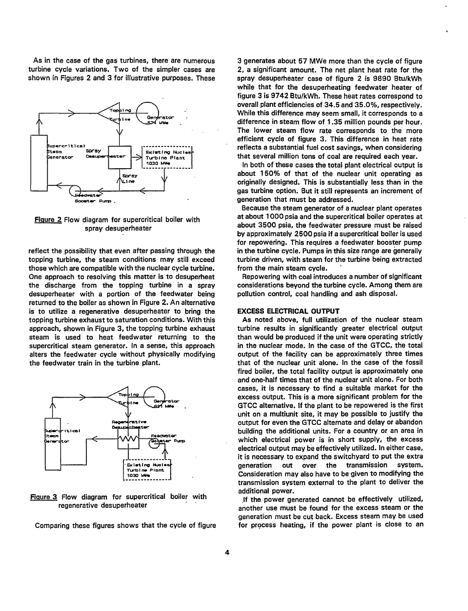As in the case of the gas turbines, there are numerous turbine cycle variations. Two of the simpler cases are shown in Figures 2 and 3 for illustrative purposes. These



Figure 2 Flow diagram for supercritical boiler with spray desuperheater

reflect the possibility that even after passing through the topping turbine, the steam conditions may still exceed those which are compatible with the nuclear cycle turbine. One approach to resolving this matter is to desuperheat the discharge from the topping turbine in a spray desuperheater with a portion of the feedwater being returned to the boiler as shown in Figure 2. An alternative is to utilize a regenerative desuperheater to bring the topping turbine exhaust to saturation conditions. With this approach, shown in Figure 3, the topping turbine exhaust steam is used to heat feedwater returning to the supercritical steam generator. In a sense, this approach alters the feedwater cycle without physically modifying the feedwater train in the turbine plant.



Figure 3 Flow diagram for supercritical boiler with regenerative desuperheater

Comparing these figures shows that the cycle of figure

3 generates about 57 MWe more than the cycle of figure 2, a significant amount. The net plant heat rate for the spray desuperheater case of figure 2 is 9890 Btu/kWh while that for the desuperheating feedwater heater of figure 3 is 9742 Btu/kWh. These heat rates correspond to overall plant efficiencies of 34.5 and 35.0%, respectively. While this difference may seem small, it corresponds to a difference in steam flow of 1.35 million pounds per hour. The lower steam flow rate corresponds to the more efficient cycle of figure 3. This difference in heat rate reflects a substantial fuel cost savings, when considering that several million tons of coal are required each year.

In both of these cases the total plant electrical output is about 150% of that of the nuclear unit operating as originally designed. This is substantially less than in the gas turbine option. But it still represents an increment of generation that must be addressed.

Because the steam generator of a nuclear plant operates at about 1000 psia and the supercritical boiler operates at about 3500 psia, the feedwater pressure must be raised by approximately 2500 psia if a supercritical boiler is used for repowering. This requires a feedwater booster pump in the turbine cycle. Pumps in this size range are generally turbine driven, with steam for the turbine being extracted from the main steam cycle.

Repowering with coal introduces a number of significant considerations beyond the turbine cycle. Among them are pollution control, coal handling and ash disposal.

#### **EXCESS ELECTRICAL OUTPUT**

As noted above, full utilization of the nuclear steam turbine results in significantly greater electrical output than would be produced if the unit were operating strictly in the nuclear mode. In the case of the GTCC, the total output of the facility can be approximately three times that of the nuclear unit alone. In the case of the fossil fired boiler, the total facility output is approximately one and one-half times that of the nuclear unit alone. For both cases, it is necessary to find a suitable market for the excess output. This is a more significant problem for the GTCC alternative. If the plant to be repowered is the first unit on a multiunit site, it may be possible to justify the output for even the GTCC alternate and delay or abandon building the additional units. For a country or an area in which electrical power is in short supply, the excess electrical output may be effectively utilized. In either case, it is necessary to expand the switchyard to put the extra generation out over the transmission system. Consideration may also have to be given to modifying the transmission system external to the plant to deliver the additional power.

If the power generated cannot be effectively utilized, another use must be found for the excess steam or the generation must be cut back. Excess steam may be used for process heating, if the power plant is close to an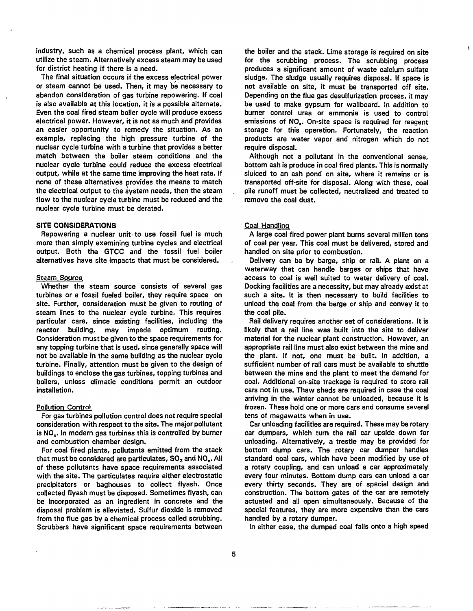industry, such as a chemical process plant, which can utilize the steam. Alternatively excess steam may be used for district heating if there is a need.

The final situation occurs if the excess electrical power or steam cannot be used. Then, it may be necessary to abandon consideration of gas turbine repowering. If coal is also available at this location, it is a possible alternate. Even the coal fired steam boiler cycle will produce excess electrical power. However, it is not as much and provides an easier opportunity to remedy the situation. As an example, replacing the high pressure turbine of the nuclear cycle turbine with a turbine that provides a better match between the boiler steam conditions and the nuclear cycle turbine could reduce the excess electrical output, while at the same time improving the heat rate. If none of these alternatives provides the means to match the electrical output to the system needs, then the steam flow to the nuclear cycle turbine must be reduced and the nuclear cycle turbine must be derated.

#### **SITE CONSIDERATIONS**

Repowering a nuclear unit to use fossil fuel is much more than simply examining turbine cycles and electrical output. Both the GTCC and the fossil fuel boiler alternatives have site impacts that must be considered.

#### Steam Source

Whether the steam source consists of several gas turbines or a fossil fueled boiler, they require space on site. Further, consideration must be given to routing of steam lines to the nuclear cycle turbine. This requires particular care, since existing facilities, including the reactor building, may impede optimum routing. Consideration must be given to the space requirements for any topping turbine that is used, since generally space will not be available in the same building as the nuclear cycle turbine. Finally, attention must be given to the design of buildings to enclose the gas turbines, topping turbines and boilers, unless climatic conditions permit an outdoor installation.

#### Pollution Control

For gas turbines pollution control does not require special consideration with respect to the site. The major pollutant is  $NO<sub>x</sub>$ . In modern gas turbines this is controlled by burner and combustion chamber design.

For coal fired plants, pollutants emitted from the stack that must be considered are particulates, SO<sub>2</sub> and NO<sub>x</sub>. All of these pollutants have space requirements associated with the site. The particulates require either electrostatic precipitators or baghouses to collect flyash. Once collected flyash must be disposed. Sometimes flyash, can be incorporated as an ingredient in concrete and the disposal problem is alleviated. Sulfur dioxide is removed from the flue gas by a chemical process called scrubbing. Scrubbers have significant space requirements between

the boiler and the stack. Lime storage is required on site for the scrubbing process. The scrubbing process produces a significant amount of waste calcium sulfate sludge. The sludge usually requires disposal. If space is not available on site, it must be transported off site. Depending on the flue gas desulfurization process, it may be used to make gypsum for wallboard. In addition to burner control urea or ammonia is used to control emissions of NO<sub>y</sub>. On-site space is required for reagent storage for this operation. Fortunately, the reaction products are water vapor and nitrogen which do not require disposal.

Although not a pollutant in the conventional sense, bottom ash is produce in coal fired plants. This is normally sluiced to an ash pond on site, where it remains or is transported off-site for disposal. Along with these, coal pile runoff must be collected, neutralized and treated to remove the coal dust.

#### Coal Handling

A large coal fired power plant burns several million tons of coal per year. This coal must be delivered, stored and handled on site prior to combustion.

Delivery can be by barge, ship or rail. A plant on a waterway that can handle barges or ships that have access to coal is well suited to water delivery of coal. Docking facilities are a necessity, but may already exist at such a site. It is then necessary to build facilities to unload the coal from the barge or ship and convey it to the coal pile.

Rail delivery requires another set of considerations. It is likely that a rail line was built into the site to deliver material for the nuclear plant construction. However, an appropriate rail line must also exist between the mine and the plant. If not, one must be built. In addition, a sufficient number of rail cars must be available to shuttle between the mine and the plant to meet the demand for coal. Additional on-site trackage is required to store rail cars not in use. Thaw sheds are required in case the coal arriving in the winter cannot be unloaded, because it is frozen. These hold one or more cars and consume several tens of megawatts when in use.

Car unloading facilities are required. These may be rotary car dumpers, which turn the rail car upside down for unloading. Alternatively, a trestle may be provided for bottom dump cars. The rotary car dumper handles standard coal cars, which have been modified by use of a rotary coupling, and can unload a car approximately every four minutes. Bottom dump cars can unload a car every thirty seconds. They are of special design and construction. The bottom gates of the car are remotely actuated and all open simultaneously. Because of the special features, they are more expensive than the cars handled by a rotary dumper.

In either case, the dumped coal falls onto a high speed